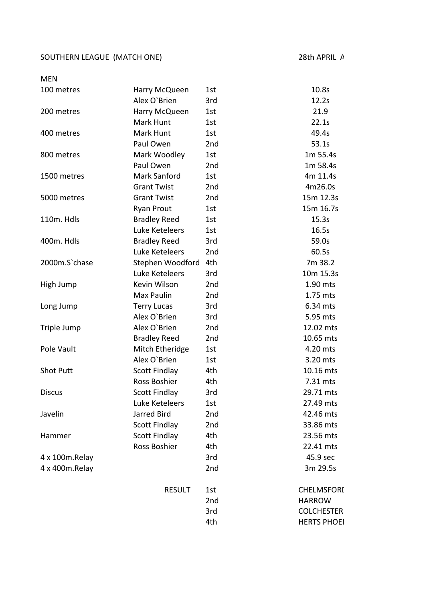## SOUTHERN LEAGUE (MATCH ONE) 28th APRIL A

| <b>MEN</b>       |                      |                 |                    |
|------------------|----------------------|-----------------|--------------------|
| 100 metres       | Harry McQueen        | 1st             | 10.8s              |
|                  | Alex O'Brien         | 3rd             | 12.2s              |
| 200 metres       | Harry McQueen        | 1st             | 21.9               |
|                  | Mark Hunt            | 1st             | 22.1s              |
| 400 metres       | Mark Hunt            | 1st             | 49.4s              |
|                  | Paul Owen            | 2 <sub>nd</sub> | 53.1s              |
| 800 metres       | Mark Woodley         | 1st             | 1m 55.4s           |
|                  | Paul Owen            | 2nd             | 1m 58.4s           |
| 1500 metres      | <b>Mark Sanford</b>  | 1st             | 4m 11.4s           |
|                  | <b>Grant Twist</b>   | 2nd             | 4m26.0s            |
| 5000 metres      | <b>Grant Twist</b>   | 2nd             | 15m 12.3s          |
|                  | Ryan Prout           | 1st             | 15m 16.7s          |
| 110m. Hdls       | <b>Bradley Reed</b>  | 1st             | 15.3s              |
|                  | Luke Keteleers       | 1st             | 16.5s              |
| 400m. Hdls       | <b>Bradley Reed</b>  | 3rd             | 59.0s              |
|                  | Luke Keteleers       | 2nd             | 60.5s              |
| 2000m.S'chase    | Stephen Woodford     | 4th             | 7m 38.2            |
|                  | Luke Keteleers       | 3rd             | 10m 15.3s          |
| High Jump        | Kevin Wilson         | 2nd             | 1.90 mts           |
|                  | Max Paulin           | 2nd             | 1.75 mts           |
| Long Jump        | <b>Terry Lucas</b>   | 3rd             | 6.34 mts           |
|                  | Alex O'Brien         | 3rd             | 5.95 mts           |
| Triple Jump      | Alex O'Brien         | 2 <sub>nd</sub> | 12.02 mts          |
|                  | <b>Bradley Reed</b>  | 2nd             | 10.65 mts          |
| Pole Vault       | Mitch Etheridge      | 1st             | 4.20 mts           |
|                  | Alex O'Brien         | 1st             | 3.20 mts           |
| <b>Shot Putt</b> | <b>Scott Findlay</b> | 4th             | 10.16 mts          |
|                  | Ross Boshier         | 4th             | 7.31 mts           |
| <b>Discus</b>    | <b>Scott Findlay</b> | 3rd             | 29.71 mts          |
|                  | Luke Keteleers       | 1st             | 27.49 mts          |
| Javelin          | Jarred Bird          | 2nd             | 42.46 mts          |
|                  | <b>Scott Findlay</b> | 2 <sub>nd</sub> | 33.86 mts          |
| Hammer           | <b>Scott Findlay</b> | 4th             | 23.56 mts          |
|                  | Ross Boshier         | 4th             | 22.41 mts          |
| 4 x 100m.Relay   |                      | 3rd             | 45.9 sec           |
| 4 x 400m.Relay   |                      | 2nd             | 3m 29.5s           |
|                  | <b>RESULT</b>        | 1st             | <b>CHELMSFORI</b>  |
|                  |                      | 2nd             | <b>HARROW</b>      |
|                  |                      | 3rd             | <b>COLCHESTER</b>  |
|                  |                      | 4th             | <b>HERTS PHOEI</b> |